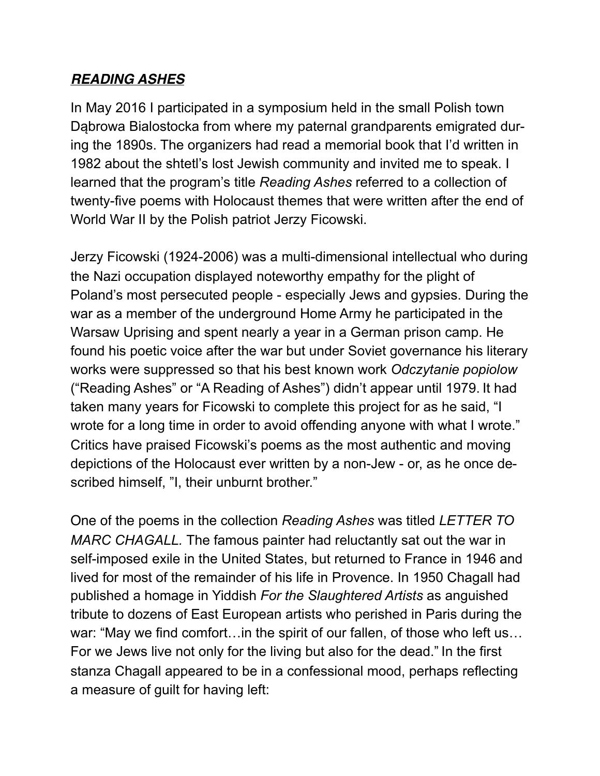## *READING ASHES*

In May 2016 I participated in a symposium held in the small Polish town Dąbrowa Bialostocka from where my paternal grandparents emigrated during the 1890s. The organizers had read a memorial book that I'd written in 1982 about the shtetl's lost Jewish community and invited me to speak. I learned that the program's title *Reading Ashes* referred to a collection of twenty-five poems with Holocaust themes that were written after the end of World War II by the Polish patriot Jerzy Ficowski.

Jerzy Ficowski (1924-2006) was a multi-dimensional intellectual who during the Nazi occupation displayed noteworthy empathy for the plight of Poland's most persecuted people - especially Jews and gypsies. During the war as a member of the underground Home Army he participated in the Warsaw Uprising and spent nearly a year in a German prison camp. He found his poetic voice after the war but under Soviet governance his literary works were suppressed so that his best known work *Odczytanie popiolow* ("Reading Ashes" or "A Reading of Ashes") didn't appear until 1979. It had taken many years for Ficowski to complete this project for as he said, "I wrote for a long time in order to avoid offending anyone with what I wrote." Critics have praised Ficowski's poems as the most authentic and moving depictions of the Holocaust ever written by a non-Jew - or, as he once described himself, "I, their unburnt brother."

One of the poems in the collection *Reading Ashes* was titled *LETTER TO MARC CHAGALL.* The famous painter had reluctantly sat out the war in self-imposed exile in the United States, but returned to France in 1946 and lived for most of the remainder of his life in Provence. In 1950 Chagall had published a homage in Yiddish *For the Slaughtered Artists* as anguished tribute to dozens of East European artists who perished in Paris during the war: "May we find comfort...in the spirit of our fallen, of those who left us... For we Jews live not only for the living but also for the dead." In the first stanza Chagall appeared to be in a confessional mood, perhaps reflecting a measure of guilt for having left: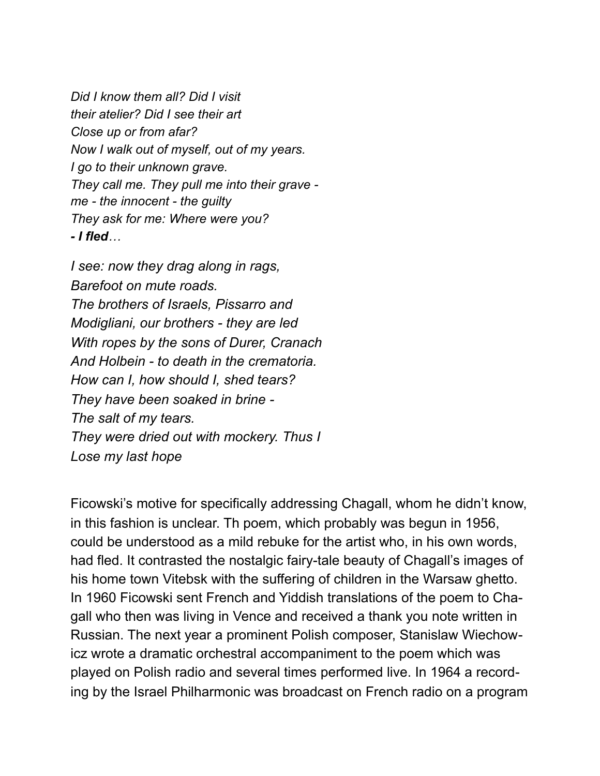*Did I know them all? Did I visit their atelier? Did I see their art Close up or from afar? Now I walk out of myself, out of my years. I go to their unknown grave. They call me. They pull me into their grave me - the innocent - the guilty They ask for me: Where were you? - I fled…*

*I see: now they drag along in rags, Barefoot on mute roads. The brothers of Israels, Pissarro and Modigliani, our brothers - they are led With ropes by the sons of Durer, Cranach And Holbein - to death in the crematoria. How can I, how should I, shed tears? They have been soaked in brine - The salt of my tears. They were dried out with mockery. Thus I Lose my last hope*

Ficowski's motive for specifically addressing Chagall, whom he didn't know, in this fashion is unclear. Th poem, which probably was begun in 1956, could be understood as a mild rebuke for the artist who, in his own words, had fled. It contrasted the nostalgic fairy-tale beauty of Chagall's images of his home town Vitebsk with the suffering of children in the Warsaw ghetto. In 1960 Ficowski sent French and Yiddish translations of the poem to Chagall who then was living in Vence and received a thank you note written in Russian. The next year a prominent Polish composer, Stanislaw Wiechowicz wrote a dramatic orchestral accompaniment to the poem which was played on Polish radio and several times performed live. In 1964 a recording by the Israel Philharmonic was broadcast on French radio on a program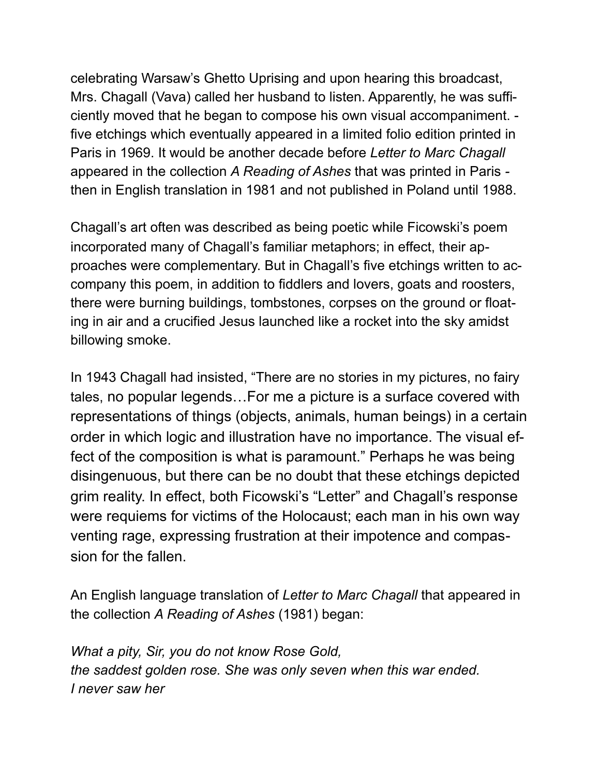celebrating Warsaw's Ghetto Uprising and upon hearing this broadcast, Mrs. Chagall (Vava) called her husband to listen. Apparently, he was sufficiently moved that he began to compose his own visual accompaniment. five etchings which eventually appeared in a limited folio edition printed in Paris in 1969. It would be another decade before *Letter to Marc Chagall*  appeared in the collection *A Reading of Ashes* that was printed in Paris  then in English translation in 1981 and not published in Poland until 1988.

Chagall's art often was described as being poetic while Ficowski's poem incorporated many of Chagall's familiar metaphors; in effect, their approaches were complementary. But in Chagall's five etchings written to accompany this poem, in addition to fiddlers and lovers, goats and roosters, there were burning buildings, tombstones, corpses on the ground or floating in air and a crucified Jesus launched like a rocket into the sky amidst billowing smoke.

In 1943 Chagall had insisted, "There are no stories in my pictures, no fairy tales, no popular legends…For me a picture is a surface covered with representations of things (objects, animals, human beings) in a certain order in which logic and illustration have no importance. The visual effect of the composition is what is paramount." Perhaps he was being disingenuous, but there can be no doubt that these etchings depicted grim reality. In effect, both Ficowski's "Letter" and Chagall's response were requiems for victims of the Holocaust; each man in his own way venting rage, expressing frustration at their impotence and compassion for the fallen.

An English language translation of *Letter to Marc Chagall* that appeared in the collection *A Reading of Ashes* (1981) began:

*What a pity, Sir, you do not know Rose Gold, the saddest golden rose. She was only seven when this war ended. I never saw her*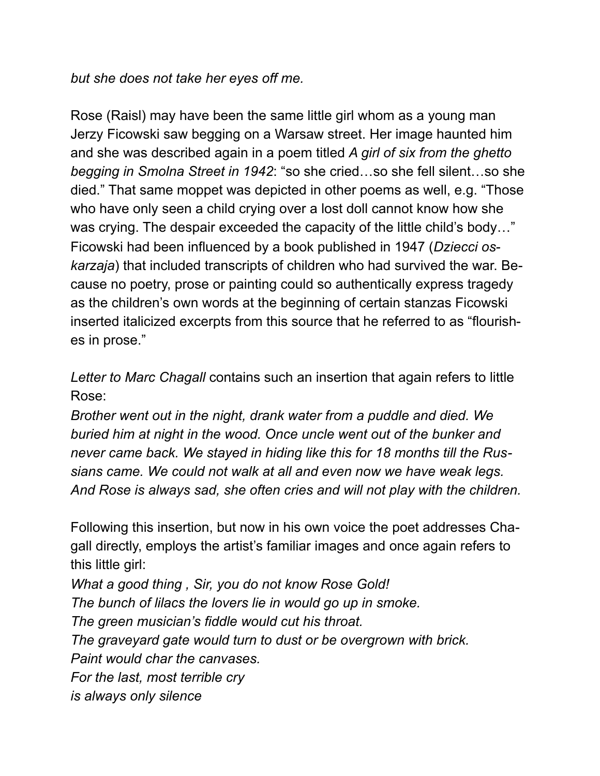*but she does not take her eyes off me.* 

Rose (Raisl) may have been the same little girl whom as a young man Jerzy Ficowski saw begging on a Warsaw street. Her image haunted him and she was described again in a poem titled *A girl of six from the ghetto begging in Smolna Street in 1942*: "so she cried…so she fell silent…so she died." That same moppet was depicted in other poems as well, e.g. "Those who have only seen a child crying over a lost doll cannot know how she was crying. The despair exceeded the capacity of the little child's body..." Ficowski had been influenced by a book published in 1947 (*Dziecci oskarzaja*) that included transcripts of children who had survived the war. Because no poetry, prose or painting could so authentically express tragedy as the children's own words at the beginning of certain stanzas Ficowski inserted italicized excerpts from this source that he referred to as "flourishes in prose."

*Letter to Marc Chagall* contains such an insertion that again refers to little Rose:

*Brother went out in the night, drank water from a puddle and died. We buried him at night in the wood. Once uncle went out of the bunker and never came back. We stayed in hiding like this for 18 months till the Russians came. We could not walk at all and even now we have weak legs. And Rose is always sad, she often cries and will not play with the children.* 

Following this insertion, but now in his own voice the poet addresses Chagall directly, employs the artist's familiar images and once again refers to this little girl:

*What a good thing , Sir, you do not know Rose Gold! The bunch of lilacs the lovers lie in would go up in smoke. The green musician's fiddle would cut his throat. The graveyard gate would turn to dust or be overgrown with brick. Paint would char the canvases. For the last, most terrible cry is always only silence*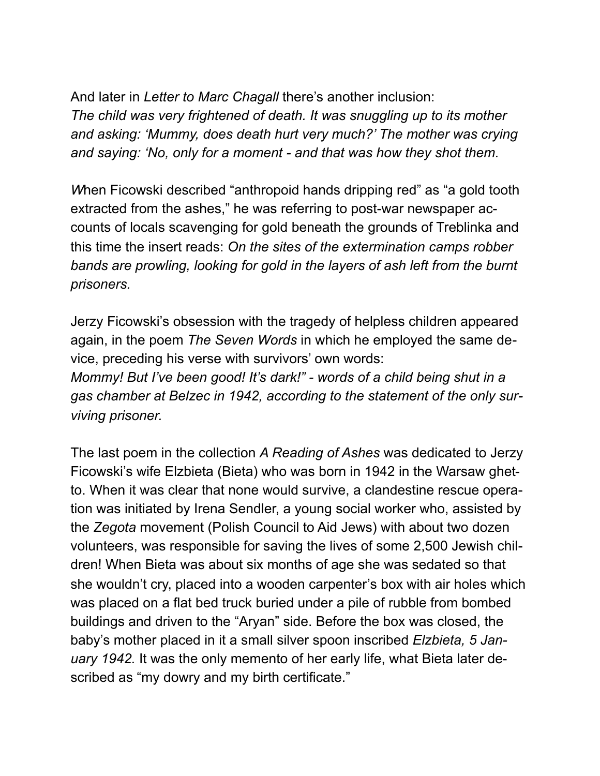And later in *Letter to Marc Chagall* there's another inclusion: *The child was very frightened of death. It was snuggling up to its mother and asking: 'Mummy, does death hurt very much?' The mother was crying and saying: 'No, only for a moment - and that was how they shot them.* 

*W*hen Ficowski described "anthropoid hands dripping red" as "a gold tooth extracted from the ashes," he was referring to post-war newspaper accounts of locals scavenging for gold beneath the grounds of Treblinka and this time the insert reads: *On the sites of the extermination camps robber bands are prowling, looking for gold in the layers of ash left from the burnt prisoners.*

Jerzy Ficowski's obsession with the tragedy of helpless children appeared again, in the poem *The Seven Words* in which he employed the same device, preceding his verse with survivors' own words:

*Mommy! But I've been good! It's dark!" - words of a child being shut in a gas chamber at Belzec in 1942, according to the statement of the only surviving prisoner.* 

The last poem in the collection *A Reading of Ashes* was dedicated to Jerzy Ficowski's wife Elzbieta (Bieta) who was born in 1942 in the Warsaw ghetto. When it was clear that none would survive, a clandestine rescue operation was initiated by Irena Sendler, a young social worker who, assisted by the *Zegota* movement (Polish Council to Aid Jews) with about two dozen volunteers, was responsible for saving the lives of some 2,500 Jewish children! When Bieta was about six months of age she was sedated so that she wouldn't cry, placed into a wooden carpenter's box with air holes which was placed on a flat bed truck buried under a pile of rubble from bombed buildings and driven to the "Aryan" side. Before the box was closed, the baby's mother placed in it a small silver spoon inscribed *Elzbieta, 5 January 1942.* It was the only memento of her early life, what Bieta later described as "my dowry and my birth certificate."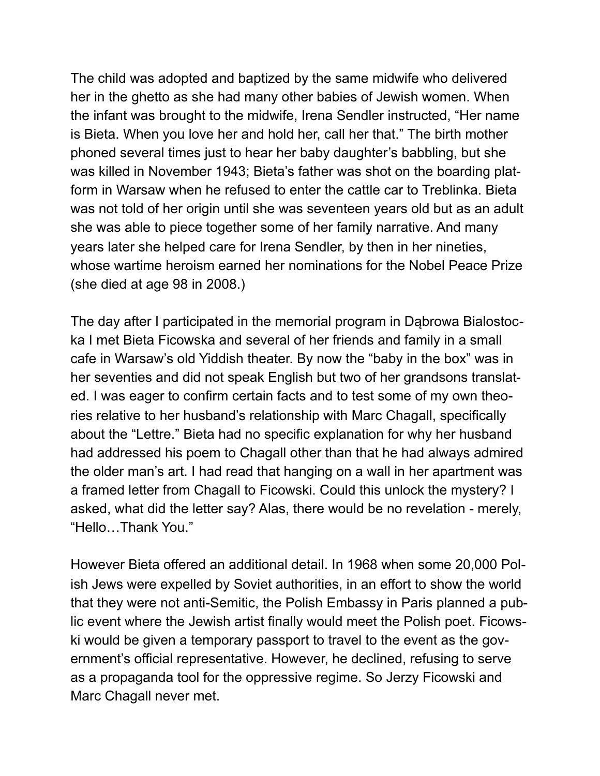The child was adopted and baptized by the same midwife who delivered her in the ghetto as she had many other babies of Jewish women. When the infant was brought to the midwife, Irena Sendler instructed, "Her name is Bieta. When you love her and hold her, call her that." The birth mother phoned several times just to hear her baby daughter's babbling, but she was killed in November 1943; Bieta's father was shot on the boarding platform in Warsaw when he refused to enter the cattle car to Treblinka. Bieta was not told of her origin until she was seventeen years old but as an adult she was able to piece together some of her family narrative. And many years later she helped care for Irena Sendler, by then in her nineties, whose wartime heroism earned her nominations for the Nobel Peace Prize (she died at age 98 in 2008.)

The day after I participated in the memorial program in Dąbrowa Bialostocka I met Bieta Ficowska and several of her friends and family in a small cafe in Warsaw's old Yiddish theater. By now the "baby in the box" was in her seventies and did not speak English but two of her grandsons translated. I was eager to confirm certain facts and to test some of my own theories relative to her husband's relationship with Marc Chagall, specifically about the "Lettre." Bieta had no specific explanation for why her husband had addressed his poem to Chagall other than that he had always admired the older man's art. I had read that hanging on a wall in her apartment was a framed letter from Chagall to Ficowski. Could this unlock the mystery? I asked, what did the letter say? Alas, there would be no revelation - merely, "Hello…Thank You."

However Bieta offered an additional detail. In 1968 when some 20,000 Polish Jews were expelled by Soviet authorities, in an effort to show the world that they were not anti-Semitic, the Polish Embassy in Paris planned a public event where the Jewish artist finally would meet the Polish poet. Ficowski would be given a temporary passport to travel to the event as the government's official representative. However, he declined, refusing to serve as a propaganda tool for the oppressive regime. So Jerzy Ficowski and Marc Chagall never met.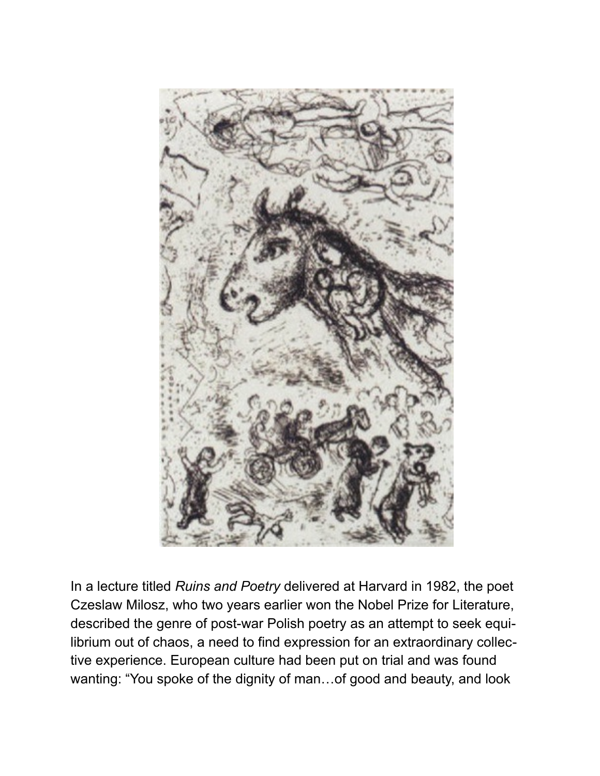

In a lecture titled *Ruins and Poetry* delivered at Harvard in 1982, the poet Czeslaw Milosz, who two years earlier won the Nobel Prize for Literature, described the genre of post-war Polish poetry as an attempt to seek equilibrium out of chaos, a need to find expression for an extraordinary collective experience. European culture had been put on trial and was found wanting: "You spoke of the dignity of man…of good and beauty, and look